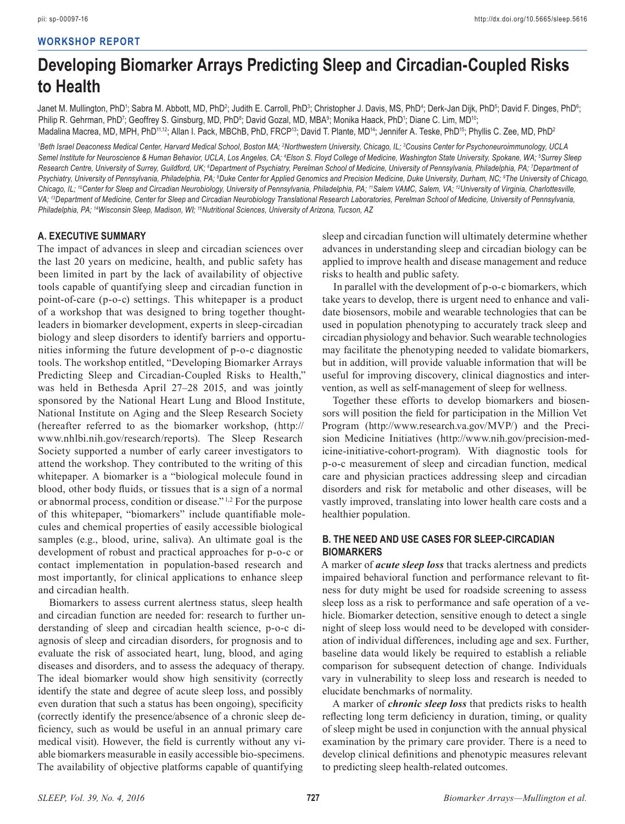# **Developing Biomarker Arrays Predicting Sleep and Circadian-Coupled Risks to Health**

Janet M. Mullington, PhD<sup>1</sup>; Sabra M. Abbott, MD, PhD<sup>2</sup>; Judith E. Carroll, PhD<sup>3</sup>; Christopher J. Davis, MS, PhD<sup>4</sup>; Derk-Jan Dijk, PhD<sup>5</sup>; David F. Dinges, PhD<sup>6</sup>; Philip R. Gehrman, PhD<sup>7</sup>; Geoffrey S. Ginsburg, MD, PhD<sup>8</sup>; David Gozal, MD, MBA<sup>9</sup>; Monika Haack, PhD<sup>1</sup>; Diane C. Lim, MD<sup>10</sup>;

Madalina Macrea, MD, MPH, PhD<sup>11,12</sup>; Allan I. Pack, MBChB, PhD, FRCP<sup>13</sup>; David T. Plante, MD<sup>14</sup>; Jennifer A. Teske, PhD<sup>15</sup>; Phyllis C. Zee, MD, PhD<sup>2</sup>

*1 Beth Israel Deaconess Medical Center, Harvard Medical School, Boston MA; 2 Northwestern University, Chicago, IL; 3 Cousins Center for Psychoneuroimmunology, UCLA Semel Institute for Neuroscience & Human Behavior, UCLA, Los Angeles, CA; 4 Elson S. Floyd College of Medicine, Washington State University, Spokane, WA; 5 Surrey Sleep Research Centre, University of Surrey, Guildford, UK; 6 Department of Psychiatry, Perelman School of Medicine, University of Pennsylvania, Philadelphia, PA; 7 Department of Psychiatry, University of Pennsylvania, Philadelphia, PA; 8 Duke Center for Applied Genomics and Precision Medicine, Duke University, Durham, NC; 9 The University of Chicago,*  Chicago, IL; <sup>10</sup>Center for Sleep and Circadian Neurobiology, University of Pennsylvania, Philadelphia, PA; <sup>11</sup>Salem VAMC, Salem, VA; <sup>12</sup>University of Virginia, Charlottesville, VA; <sup>13</sup>Department of Medicine, Center for Sleep and Circadian Neurobiology Translational Research Laboratories, Perelman School of Medicine, University of Pennsylvania, *Philadelphia, PA; 14Wisconsin Sleep, Madison, WI; 15Nutritional Sciences, University of Arizona, Tucson, AZ*

## **A. EXECUTIVE SUMMARY**

The impact of advances in sleep and circadian sciences over the last 20 years on medicine, health, and public safety has been limited in part by the lack of availability of objective tools capable of quantifying sleep and circadian function in point-of-care (p-o-c) settings. This whitepaper is a product of a workshop that was designed to bring together thoughtleaders in biomarker development, experts in sleep-circadian biology and sleep disorders to identify barriers and opportunities informing the future development of p-o-c diagnostic tools. The workshop entitled, "Developing Biomarker Arrays Predicting Sleep and Circadian-Coupled Risks to Health," was held in Bethesda April 27–28 2015, and was jointly sponsored by the National Heart Lung and Blood Institute, National Institute on Aging and the Sleep Research Society (hereafter referred to as the biomarker workshop, (http:// www.nhlbi.nih.gov/research/reports). The Sleep Research Society supported a number of early career investigators to attend the workshop. They contributed to the writing of this whitepaper. A biomarker is a "biological molecule found in blood, other body fluids, or tissues that is a sign of a normal or abnormal process, condition or disease." 1,2 For the purpose of this whitepaper, "biomarkers" include quantifiable molecules and chemical properties of easily accessible biological samples (e.g., blood, urine, saliva). An ultimate goal is the development of robust and practical approaches for p-o-c or contact implementation in population-based research and most importantly, for clinical applications to enhance sleep and circadian health.

Biomarkers to assess current alertness status, sleep health and circadian function are needed for: research to further understanding of sleep and circadian health science, p-o-c diagnosis of sleep and circadian disorders, for prognosis and to evaluate the risk of associated heart, lung, blood, and aging diseases and disorders, and to assess the adequacy of therapy. The ideal biomarker would show high sensitivity (correctly identify the state and degree of acute sleep loss, and possibly even duration that such a status has been ongoing), specificity (correctly identify the presence/absence of a chronic sleep deficiency, such as would be useful in an annual primary care medical visit). However, the field is currently without any viable biomarkers measurable in easily accessible bio-specimens. The availability of objective platforms capable of quantifying

sleep and circadian function will ultimately determine whether advances in understanding sleep and circadian biology can be applied to improve health and disease management and reduce risks to health and public safety.

In parallel with the development of p-o-c biomarkers, which take years to develop, there is urgent need to enhance and validate biosensors, mobile and wearable technologies that can be used in population phenotyping to accurately track sleep and circadian physiology and behavior. Such wearable technologies may facilitate the phenotyping needed to validate biomarkers, but in addition, will provide valuable information that will be useful for improving discovery, clinical diagnostics and intervention, as well as self-management of sleep for wellness.

Together these efforts to develop biomarkers and biosensors will position the field for participation in the Million Vet Program (http://www.research.va.gov/MVP/) and the Precision Medicine Initiatives (http://www.nih.gov/precision-medicine-initiative-cohort-program). With diagnostic tools for p-o-c measurement of sleep and circadian function, medical care and physician practices addressing sleep and circadian disorders and risk for metabolic and other diseases, will be vastly improved, translating into lower health care costs and a healthier population.

## **B. THE NEED AND USE CASES FOR SLEEP-CIRCADIAN BIOMARKERS**

A marker of *acute sleep loss* that tracks alertness and predicts impaired behavioral function and performance relevant to fitness for duty might be used for roadside screening to assess sleep loss as a risk to performance and safe operation of a vehicle. Biomarker detection, sensitive enough to detect a single night of sleep loss would need to be developed with consideration of individual differences, including age and sex. Further, baseline data would likely be required to establish a reliable comparison for subsequent detection of change. Individuals vary in vulnerability to sleep loss and research is needed to elucidate benchmarks of normality.

A marker of *chronic sleep loss* that predicts risks to health reflecting long term deficiency in duration, timing, or quality of sleep might be used in conjunction with the annual physical examination by the primary care provider. There is a need to develop clinical definitions and phenotypic measures relevant to predicting sleep health-related outcomes.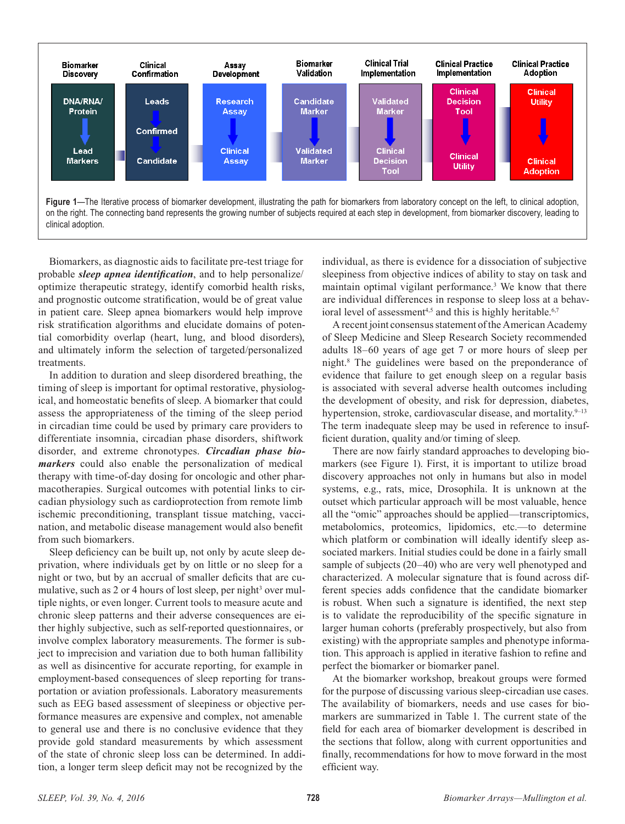

Biomarkers, as diagnostic aids to facilitate pre-test triage for probable *sleep apnea identification*, and to help personalize/ optimize therapeutic strategy, identify comorbid health risks, and prognostic outcome stratification, would be of great value in patient care. Sleep apnea biomarkers would help improve risk stratification algorithms and elucidate domains of potential comorbidity overlap (heart, lung, and blood disorders), and ultimately inform the selection of targeted/personalized treatments.

In addition to duration and sleep disordered breathing, the timing of sleep is important for optimal restorative, physiological, and homeostatic benefits of sleep. A biomarker that could assess the appropriateness of the timing of the sleep period in circadian time could be used by primary care providers to differentiate insomnia, circadian phase disorders, shiftwork disorder, and extreme chronotypes. *Circadian phase biomarkers* could also enable the personalization of medical therapy with time-of-day dosing for oncologic and other pharmacotherapies. Surgical outcomes with potential links to circadian physiology such as cardioprotection from remote limb ischemic preconditioning, transplant tissue matching, vaccination, and metabolic disease management would also benefit from such biomarkers.

Sleep deficiency can be built up, not only by acute sleep deprivation, where individuals get by on little or no sleep for a night or two, but by an accrual of smaller deficits that are cumulative, such as 2 or 4 hours of lost sleep, per night<sup>3</sup> over multiple nights, or even longer. Current tools to measure acute and chronic sleep patterns and their adverse consequences are either highly subjective, such as self-reported questionnaires, or involve complex laboratory measurements. The former is subject to imprecision and variation due to both human fallibility as well as disincentive for accurate reporting, for example in employment-based consequences of sleep reporting for transportation or aviation professionals. Laboratory measurements such as EEG based assessment of sleepiness or objective performance measures are expensive and complex, not amenable to general use and there is no conclusive evidence that they provide gold standard measurements by which assessment of the state of chronic sleep loss can be determined. In addition, a longer term sleep deficit may not be recognized by the

individual, as there is evidence for a dissociation of subjective sleepiness from objective indices of ability to stay on task and maintain optimal vigilant performance.<sup>3</sup> We know that there are individual differences in response to sleep loss at a behavioral level of assessment<sup>4,5</sup> and this is highly heritable.<sup>6,7</sup>

A recent joint consensus statement of the American Academy of Sleep Medicine and Sleep Research Society recommended adults 18–60 years of age get 7 or more hours of sleep per night.8 The guidelines were based on the preponderance of evidence that failure to get enough sleep on a regular basis is associated with several adverse health outcomes including the development of obesity, and risk for depression, diabetes, hypertension, stroke, cardiovascular disease, and mortality. $9-13$ The term inadequate sleep may be used in reference to insufficient duration, quality and/or timing of sleep.

There are now fairly standard approaches to developing biomarkers (see Figure 1). First, it is important to utilize broad discovery approaches not only in humans but also in model systems, e.g., rats, mice, Drosophila. It is unknown at the outset which particular approach will be most valuable, hence all the "omic" approaches should be applied—transcriptomics, metabolomics, proteomics, lipidomics, etc.—to determine which platform or combination will ideally identify sleep associated markers. Initial studies could be done in a fairly small sample of subjects (20–40) who are very well phenotyped and characterized. A molecular signature that is found across different species adds confidence that the candidate biomarker is robust. When such a signature is identified, the next step is to validate the reproducibility of the specific signature in larger human cohorts (preferably prospectively, but also from existing) with the appropriate samples and phenotype information. This approach is applied in iterative fashion to refine and perfect the biomarker or biomarker panel.

At the biomarker workshop, breakout groups were formed for the purpose of discussing various sleep-circadian use cases. The availability of biomarkers, needs and use cases for biomarkers are summarized in Table 1. The current state of the field for each area of biomarker development is described in the sections that follow, along with current opportunities and finally, recommendations for how to move forward in the most efficient way.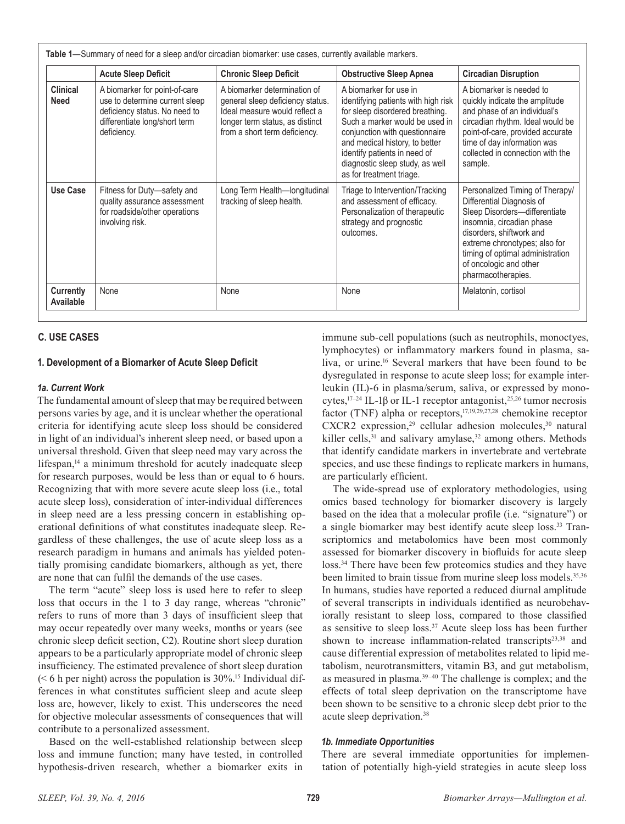|                               | <b>Acute Sleep Deficit</b>                                                                                                                       | <b>Chronic Sleep Deficit</b>                                                                                                                                          | <b>Obstructive Sleep Apnea</b>                                                                                                                                                                                                                                                                        | <b>Circadian Disruption</b>                                                                                                                                                                                                                                                 |
|-------------------------------|--------------------------------------------------------------------------------------------------------------------------------------------------|-----------------------------------------------------------------------------------------------------------------------------------------------------------------------|-------------------------------------------------------------------------------------------------------------------------------------------------------------------------------------------------------------------------------------------------------------------------------------------------------|-----------------------------------------------------------------------------------------------------------------------------------------------------------------------------------------------------------------------------------------------------------------------------|
| <b>Clinical</b><br>Need       | A biomarker for point-of-care<br>use to determine current sleep<br>deficiency status. No need to<br>differentiate long/short term<br>deficiency. | A biomarker determination of<br>general sleep deficiency status.<br>Ideal measure would reflect a<br>longer term status, as distinct<br>from a short term deficiency. | A biomarker for use in<br>identifying patients with high risk<br>for sleep disordered breathing.<br>Such a marker would be used in<br>conjunction with questionnaire<br>and medical history, to better<br>identify patients in need of<br>diagnostic sleep study, as well<br>as for treatment triage. | A biomarker is needed to<br>quickly indicate the amplitude<br>and phase of an individual's<br>circadian rhythm. Ideal would be<br>point-of-care, provided accurate<br>time of day information was<br>collected in connection with the<br>sample.                            |
| Use Case                      | Fitness for Duty-safety and<br>quality assurance assessment<br>for roadside/other operations<br>involving risk.                                  | Long Term Health-longitudinal<br>tracking of sleep health.                                                                                                            | Triage to Intervention/Tracking<br>and assessment of efficacy.<br>Personalization of therapeutic<br>strategy and prognostic<br>outcomes.                                                                                                                                                              | Personalized Timing of Therapy/<br>Differential Diagnosis of<br>Sleep Disorders-differentiate<br>insomnia, circadian phase<br>disorders, shiftwork and<br>extreme chronotypes; also for<br>timing of optimal administration<br>of oncologic and other<br>pharmacotherapies. |
| <b>Currently</b><br>Available | None                                                                                                                                             | None                                                                                                                                                                  | None                                                                                                                                                                                                                                                                                                  | Melatonin, cortisol                                                                                                                                                                                                                                                         |

## **C. USE CASES**

## **1. Development of a Biomarker of Acute Sleep Deficit**

## *1a. Current Work*

The fundamental amount of sleep that may be required between persons varies by age, and it is unclear whether the operational criteria for identifying acute sleep loss should be considered in light of an individual's inherent sleep need, or based upon a universal threshold. Given that sleep need may vary across the lifespan,<sup>14</sup> a minimum threshold for acutely inadequate sleep for research purposes, would be less than or equal to 6 hours. Recognizing that with more severe acute sleep loss (i.e., total acute sleep loss), consideration of inter-individual differences in sleep need are a less pressing concern in establishing operational definitions of what constitutes inadequate sleep. Regardless of these challenges, the use of acute sleep loss as a research paradigm in humans and animals has yielded potentially promising candidate biomarkers, although as yet, there are none that can fulfil the demands of the use cases.

The term "acute" sleep loss is used here to refer to sleep loss that occurs in the 1 to 3 day range, whereas "chronic" refers to runs of more than 3 days of insufficient sleep that may occur repeatedly over many weeks, months or years (see chronic sleep deficit section, C2). Routine short sleep duration appears to be a particularly appropriate model of chronic sleep insufficiency. The estimated prevalence of short sleep duration  $(< 6 h per night$ ) across the population is 30%.<sup>15</sup> Individual differences in what constitutes sufficient sleep and acute sleep loss are, however, likely to exist. This underscores the need for objective molecular assessments of consequences that will contribute to a personalized assessment.

Based on the well-established relationship between sleep loss and immune function; many have tested, in controlled hypothesis-driven research, whether a biomarker exits in

immune sub-cell populations (such as neutrophils, monoctyes, lymphocytes) or inflammatory markers found in plasma, saliva, or urine.16 Several markers that have been found to be dysregulated in response to acute sleep loss; for example interleukin (IL)-6 in plasma/serum, saliva, or expressed by monocytes,<sup>17–24</sup> IL-1β or IL-1 receptor antagonist,<sup>25,26</sup> tumor necrosis factor (TNF) alpha or receptors,17,19,29,27,28 chemokine receptor  $CXCR2$  expression,<sup>29</sup> cellular adhesion molecules,<sup>30</sup> natural killer cells, $31$  and salivary amylase, $32$  among others. Methods that identify candidate markers in invertebrate and vertebrate species, and use these findings to replicate markers in humans, are particularly efficient.

The wide-spread use of exploratory methodologies, using omics based technology for biomarker discovery is largely based on the idea that a molecular profile (i.e. "signature") or a single biomarker may best identify acute sleep loss.<sup>33</sup> Transcriptomics and metabolomics have been most commonly assessed for biomarker discovery in biofluids for acute sleep loss.34 There have been few proteomics studies and they have been limited to brain tissue from murine sleep loss models.<sup>35,36</sup> In humans, studies have reported a reduced diurnal amplitude of several transcripts in individuals identified as neurobehaviorally resistant to sleep loss, compared to those classified as sensitive to sleep loss.37 Acute sleep loss has been further shown to increase inflammation-related transcripts<sup>23,38</sup> and cause differential expression of metabolites related to lipid metabolism, neurotransmitters, vitamin B3, and gut metabolism, as measured in plasma.39–40 The challenge is complex; and the effects of total sleep deprivation on the transcriptome have been shown to be sensitive to a chronic sleep debt prior to the acute sleep deprivation.38

#### *1b. Immediate Opportunities*

There are several immediate opportunities for implementation of potentially high-yield strategies in acute sleep loss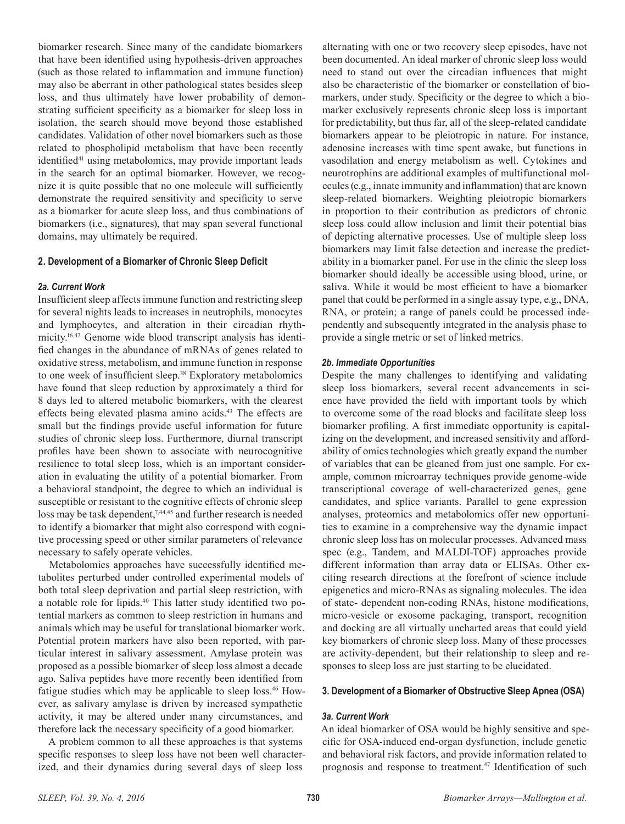biomarker research. Since many of the candidate biomarkers that have been identified using hypothesis-driven approaches (such as those related to inflammation and immune function) may also be aberrant in other pathological states besides sleep loss, and thus ultimately have lower probability of demonstrating sufficient specificity as a biomarker for sleep loss in isolation, the search should move beyond those established candidates. Validation of other novel biomarkers such as those related to phospholipid metabolism that have been recently identified<sup>41</sup> using metabolomics, may provide important leads in the search for an optimal biomarker. However, we recognize it is quite possible that no one molecule will sufficiently demonstrate the required sensitivity and specificity to serve as a biomarker for acute sleep loss, and thus combinations of biomarkers (i.e., signatures), that may span several functional domains, may ultimately be required.

#### **2. Development of a Biomarker of Chronic Sleep Deficit**

#### *2a. Current Work*

Insufficient sleep affects immune function and restricting sleep for several nights leads to increases in neutrophils, monocytes and lymphocytes, and alteration in their circadian rhythmicity.16,42 Genome wide blood transcript analysis has identified changes in the abundance of mRNAs of genes related to oxidative stress, metabolism, and immune function in response to one week of insufficient sleep.<sup>38</sup> Exploratory metabolomics have found that sleep reduction by approximately a third for 8 days led to altered metabolic biomarkers, with the clearest effects being elevated plasma amino acids.<sup>43</sup> The effects are small but the findings provide useful information for future studies of chronic sleep loss. Furthermore, diurnal transcript profiles have been shown to associate with neurocognitive resilience to total sleep loss, which is an important consideration in evaluating the utility of a potential biomarker. From a behavioral standpoint, the degree to which an individual is susceptible or resistant to the cognitive effects of chronic sleep loss may be task dependent,<sup>7,44,45</sup> and further research is needed to identify a biomarker that might also correspond with cognitive processing speed or other similar parameters of relevance necessary to safely operate vehicles.

Metabolomics approaches have successfully identified metabolites perturbed under controlled experimental models of both total sleep deprivation and partial sleep restriction, with a notable role for lipids.40 This latter study identified two potential markers as common to sleep restriction in humans and animals which may be useful for translational biomarker work. Potential protein markers have also been reported, with particular interest in salivary assessment. Amylase protein was proposed as a possible biomarker of sleep loss almost a decade ago. Saliva peptides have more recently been identified from fatigue studies which may be applicable to sleep loss.<sup>46</sup> However, as salivary amylase is driven by increased sympathetic activity, it may be altered under many circumstances, and therefore lack the necessary specificity of a good biomarker.

A problem common to all these approaches is that systems specific responses to sleep loss have not been well characterized, and their dynamics during several days of sleep loss

alternating with one or two recovery sleep episodes, have not been documented. An ideal marker of chronic sleep loss would need to stand out over the circadian influences that might also be characteristic of the biomarker or constellation of biomarkers, under study. Specificity or the degree to which a biomarker exclusively represents chronic sleep loss is important for predictability, but thus far, all of the sleep-related candidate biomarkers appear to be pleiotropic in nature. For instance, adenosine increases with time spent awake, but functions in vasodilation and energy metabolism as well. Cytokines and neurotrophins are additional examples of multifunctional molecules (e.g., innate immunity and inflammation) that are known sleep-related biomarkers. Weighting pleiotropic biomarkers in proportion to their contribution as predictors of chronic sleep loss could allow inclusion and limit their potential bias of depicting alternative processes. Use of multiple sleep loss biomarkers may limit false detection and increase the predictability in a biomarker panel. For use in the clinic the sleep loss biomarker should ideally be accessible using blood, urine, or saliva. While it would be most efficient to have a biomarker panel that could be performed in a single assay type, e.g., DNA, RNA, or protein; a range of panels could be processed independently and subsequently integrated in the analysis phase to provide a single metric or set of linked metrics.

#### *2b. Immediate Opportunities*

Despite the many challenges to identifying and validating sleep loss biomarkers, several recent advancements in science have provided the field with important tools by which to overcome some of the road blocks and facilitate sleep loss biomarker profiling. A first immediate opportunity is capitalizing on the development, and increased sensitivity and affordability of omics technologies which greatly expand the number of variables that can be gleaned from just one sample. For example, common microarray techniques provide genome-wide transcriptional coverage of well-characterized genes, gene candidates, and splice variants. Parallel to gene expression analyses, proteomics and metabolomics offer new opportunities to examine in a comprehensive way the dynamic impact chronic sleep loss has on molecular processes. Advanced mass spec (e.g., Tandem, and MALDI-TOF) approaches provide different information than array data or ELISAs. Other exciting research directions at the forefront of science include epigenetics and micro-RNAs as signaling molecules. The idea of state- dependent non-coding RNAs, histone modifications, micro-vesicle or exosome packaging, transport, recognition and docking are all virtually uncharted areas that could yield key biomarkers of chronic sleep loss. Many of these processes are activity-dependent, but their relationship to sleep and responses to sleep loss are just starting to be elucidated.

#### **3. Development of a Biomarker of Obstructive Sleep Apnea (OSA)**

#### *3a. Current Work*

An ideal biomarker of OSA would be highly sensitive and specific for OSA-induced end-organ dysfunction, include genetic and behavioral risk factors, and provide information related to prognosis and response to treatment.47 Identification of such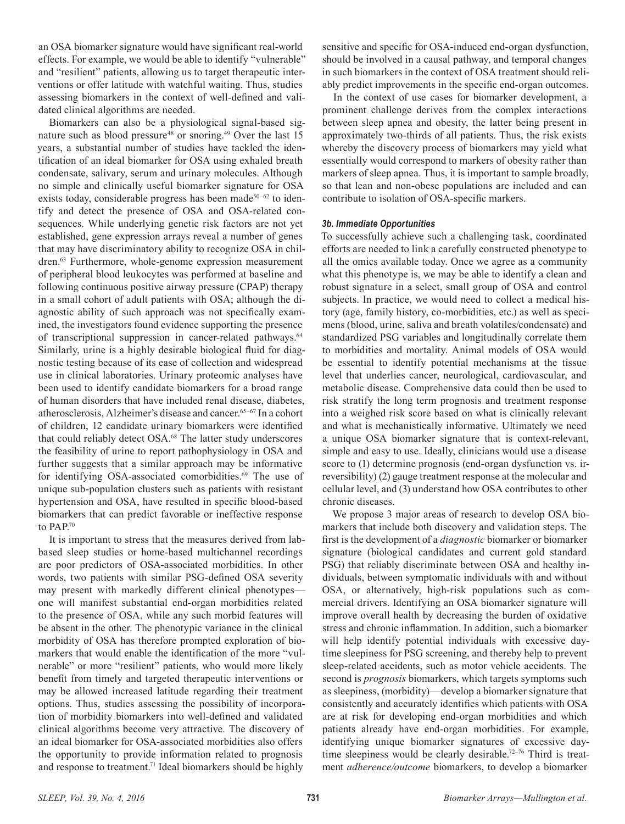an OSA biomarker signature would have significant real-world effects. For example, we would be able to identify "vulnerable" and "resilient" patients, allowing us to target therapeutic interventions or offer latitude with watchful waiting. Thus, studies assessing biomarkers in the context of well-defined and validated clinical algorithms are needed.

Biomarkers can also be a physiological signal-based signature such as blood pressure<sup>48</sup> or snoring.<sup>49</sup> Over the last 15 years, a substantial number of studies have tackled the identification of an ideal biomarker for OSA using exhaled breath condensate, salivary, serum and urinary molecules. Although no simple and clinically useful biomarker signature for OSA exists today, considerable progress has been made<sup>50-62</sup> to identify and detect the presence of OSA and OSA-related consequences. While underlying genetic risk factors are not yet established, gene expression arrays reveal a number of genes that may have discriminatory ability to recognize OSA in children.63 Furthermore, whole-genome expression measurement of peripheral blood leukocytes was performed at baseline and following continuous positive airway pressure (CPAP) therapy in a small cohort of adult patients with OSA; although the diagnostic ability of such approach was not specifically examined, the investigators found evidence supporting the presence of transcriptional suppression in cancer-related pathways.<sup>64</sup> Similarly, urine is a highly desirable biological fluid for diagnostic testing because of its ease of collection and widespread use in clinical laboratories. Urinary proteomic analyses have been used to identify candidate biomarkers for a broad range of human disorders that have included renal disease, diabetes, atherosclerosis, Alzheimer's disease and cancer.65–67 In a cohort of children, 12 candidate urinary biomarkers were identified that could reliably detect OSA.<sup>68</sup> The latter study underscores the feasibility of urine to report pathophysiology in OSA and further suggests that a similar approach may be informative for identifying OSA-associated comorbidities.<sup>69</sup> The use of unique sub-population clusters such as patients with resistant hypertension and OSA, have resulted in specific blood-based biomarkers that can predict favorable or ineffective response to PAP.<sup>70</sup>

It is important to stress that the measures derived from labbased sleep studies or home-based multichannel recordings are poor predictors of OSA-associated morbidities. In other words, two patients with similar PSG-defined OSA severity may present with markedly different clinical phenotypes one will manifest substantial end-organ morbidities related to the presence of OSA, while any such morbid features will be absent in the other. The phenotypic variance in the clinical morbidity of OSA has therefore prompted exploration of biomarkers that would enable the identification of the more "vulnerable" or more "resilient" patients, who would more likely benefit from timely and targeted therapeutic interventions or may be allowed increased latitude regarding their treatment options. Thus, studies assessing the possibility of incorporation of morbidity biomarkers into well-defined and validated clinical algorithms become very attractive. The discovery of an ideal biomarker for OSA-associated morbidities also offers the opportunity to provide information related to prognosis and response to treatment.<sup>71</sup> Ideal biomarkers should be highly

sensitive and specific for OSA-induced end-organ dysfunction, should be involved in a causal pathway, and temporal changes in such biomarkers in the context of OSA treatment should reliably predict improvements in the specific end-organ outcomes.

In the context of use cases for biomarker development, a prominent challenge derives from the complex interactions between sleep apnea and obesity, the latter being present in approximately two-thirds of all patients. Thus, the risk exists whereby the discovery process of biomarkers may yield what essentially would correspond to markers of obesity rather than markers of sleep apnea. Thus, it is important to sample broadly, so that lean and non-obese populations are included and can contribute to isolation of OSA-specific markers.

#### *3b. Immediate Opportunities*

To successfully achieve such a challenging task, coordinated efforts are needed to link a carefully constructed phenotype to all the omics available today. Once we agree as a community what this phenotype is, we may be able to identify a clean and robust signature in a select, small group of OSA and control subjects. In practice, we would need to collect a medical history (age, family history, co-morbidities, etc.) as well as specimens (blood, urine, saliva and breath volatiles/condensate) and standardized PSG variables and longitudinally correlate them to morbidities and mortality. Animal models of OSA would be essential to identify potential mechanisms at the tissue level that underlies cancer, neurological, cardiovascular, and metabolic disease. Comprehensive data could then be used to risk stratify the long term prognosis and treatment response into a weighed risk score based on what is clinically relevant and what is mechanistically informative. Ultimately we need a unique OSA biomarker signature that is context-relevant, simple and easy to use. Ideally, clinicians would use a disease score to (1) determine prognosis (end-organ dysfunction vs. irreversibility) (2) gauge treatment response at the molecular and cellular level, and (3) understand how OSA contributes to other chronic diseases.

We propose 3 major areas of research to develop OSA biomarkers that include both discovery and validation steps. The first is the development of a *diagnostic* biomarker or biomarker signature (biological candidates and current gold standard PSG) that reliably discriminate between OSA and healthy individuals, between symptomatic individuals with and without OSA, or alternatively, high-risk populations such as commercial drivers. Identifying an OSA biomarker signature will improve overall health by decreasing the burden of oxidative stress and chronic inflammation. In addition, such a biomarker will help identify potential individuals with excessive daytime sleepiness for PSG screening, and thereby help to prevent sleep-related accidents, such as motor vehicle accidents. The second is *prognosis* biomarkers, which targets symptoms such as sleepiness, (morbidity)—develop a biomarker signature that consistently and accurately identifies which patients with OSA are at risk for developing end-organ morbidities and which patients already have end-organ morbidities. For example, identifying unique biomarker signatures of excessive daytime sleepiness would be clearly desirable.<sup>72-76</sup> Third is treatment *adherence/outcome* biomarkers, to develop a biomarker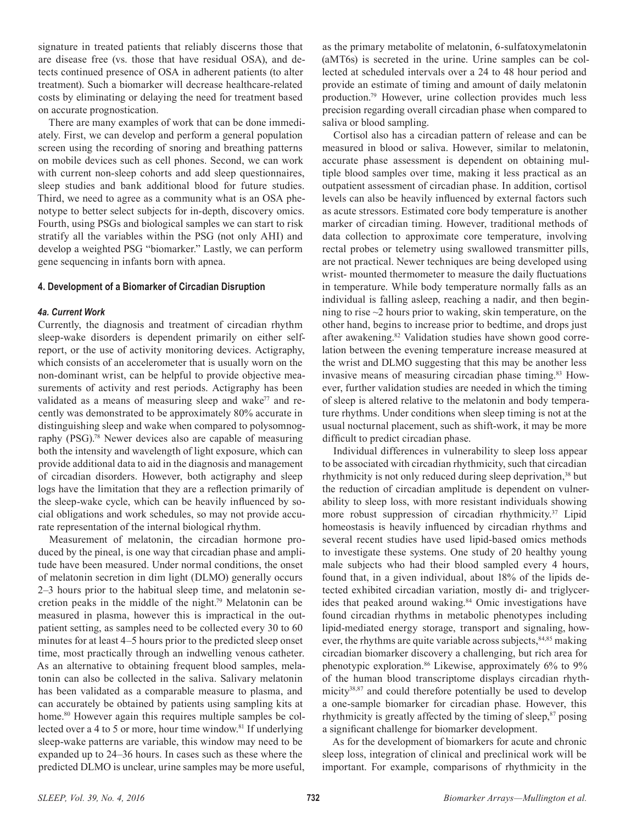signature in treated patients that reliably discerns those that are disease free (vs. those that have residual OSA), and detects continued presence of OSA in adherent patients (to alter treatment). Such a biomarker will decrease healthcare-related costs by eliminating or delaying the need for treatment based on accurate prognostication.

There are many examples of work that can be done immediately. First, we can develop and perform a general population screen using the recording of snoring and breathing patterns on mobile devices such as cell phones. Second, we can work with current non-sleep cohorts and add sleep questionnaires, sleep studies and bank additional blood for future studies. Third, we need to agree as a community what is an OSA phenotype to better select subjects for in-depth, discovery omics. Fourth, using PSGs and biological samples we can start to risk stratify all the variables within the PSG (not only AHI) and develop a weighted PSG "biomarker." Lastly, we can perform gene sequencing in infants born with apnea.

## **4. Development of a Biomarker of Circadian Disruption**

#### *4a. Current Work*

Currently, the diagnosis and treatment of circadian rhythm sleep-wake disorders is dependent primarily on either selfreport, or the use of activity monitoring devices. Actigraphy, which consists of an accelerometer that is usually worn on the non-dominant wrist, can be helpful to provide objective measurements of activity and rest periods. Actigraphy has been validated as a means of measuring sleep and wake<sup>77</sup> and recently was demonstrated to be approximately 80% accurate in distinguishing sleep and wake when compared to polysomnography (PSG).78 Newer devices also are capable of measuring both the intensity and wavelength of light exposure, which can provide additional data to aid in the diagnosis and management of circadian disorders. However, both actigraphy and sleep logs have the limitation that they are a reflection primarily of the sleep-wake cycle, which can be heavily influenced by social obligations and work schedules, so may not provide accurate representation of the internal biological rhythm.

Measurement of melatonin, the circadian hormone produced by the pineal, is one way that circadian phase and amplitude have been measured. Under normal conditions, the onset of melatonin secretion in dim light (DLMO) generally occurs 2–3 hours prior to the habitual sleep time, and melatonin secretion peaks in the middle of the night.79 Melatonin can be measured in plasma, however this is impractical in the outpatient setting, as samples need to be collected every 30 to 60 minutes for at least 4–5 hours prior to the predicted sleep onset time, most practically through an indwelling venous catheter. As an alternative to obtaining frequent blood samples, melatonin can also be collected in the saliva. Salivary melatonin has been validated as a comparable measure to plasma, and can accurately be obtained by patients using sampling kits at home.<sup>80</sup> However again this requires multiple samples be collected over a 4 to 5 or more, hour time window.<sup>81</sup> If underlying sleep-wake patterns are variable, this window may need to be expanded up to 24–36 hours. In cases such as these where the predicted DLMO is unclear, urine samples may be more useful,

as the primary metabolite of melatonin, 6-sulfatoxymelatonin (aMT6s) is secreted in the urine. Urine samples can be collected at scheduled intervals over a 24 to 48 hour period and provide an estimate of timing and amount of daily melatonin production.79 However, urine collection provides much less precision regarding overall circadian phase when compared to saliva or blood sampling.

Cortisol also has a circadian pattern of release and can be measured in blood or saliva. However, similar to melatonin, accurate phase assessment is dependent on obtaining multiple blood samples over time, making it less practical as an outpatient assessment of circadian phase. In addition, cortisol levels can also be heavily influenced by external factors such as acute stressors. Estimated core body temperature is another marker of circadian timing. However, traditional methods of data collection to approximate core temperature, involving rectal probes or telemetry using swallowed transmitter pills, are not practical. Newer techniques are being developed using wrist- mounted thermometer to measure the daily fluctuations in temperature. While body temperature normally falls as an individual is falling asleep, reaching a nadir, and then beginning to rise ~2 hours prior to waking, skin temperature, on the other hand, begins to increase prior to bedtime, and drops just after awakening.<sup>82</sup> Validation studies have shown good correlation between the evening temperature increase measured at the wrist and DLMO suggesting that this may be another less invasive means of measuring circadian phase timing.<sup>83</sup> However, further validation studies are needed in which the timing of sleep is altered relative to the melatonin and body temperature rhythms. Under conditions when sleep timing is not at the usual nocturnal placement, such as shift-work, it may be more difficult to predict circadian phase.

Individual differences in vulnerability to sleep loss appear to be associated with circadian rhythmicity, such that circadian rhythmicity is not only reduced during sleep deprivation,<sup>38</sup> but the reduction of circadian amplitude is dependent on vulnerability to sleep loss, with more resistant individuals showing more robust suppression of circadian rhythmicity.<sup>37</sup> Lipid homeostasis is heavily influenced by circadian rhythms and several recent studies have used lipid-based omics methods to investigate these systems. One study of 20 healthy young male subjects who had their blood sampled every 4 hours, found that, in a given individual, about 18% of the lipids detected exhibited circadian variation, mostly di- and triglycerides that peaked around waking.<sup>84</sup> Omic investigations have found circadian rhythms in metabolic phenotypes including lipid-mediated energy storage, transport and signaling, however, the rhythms are quite variable across subjects,<sup>84,85</sup> making circadian biomarker discovery a challenging, but rich area for phenotypic exploration.86 Likewise, approximately 6% to 9% of the human blood transcriptome displays circadian rhythmicity<sup>38,87</sup> and could therefore potentially be used to develop a one-sample biomarker for circadian phase. However, this rhythmicity is greatly affected by the timing of sleep, $\frac{87}{3}$  posing a significant challenge for biomarker development.

As for the development of biomarkers for acute and chronic sleep loss, integration of clinical and preclinical work will be important. For example, comparisons of rhythmicity in the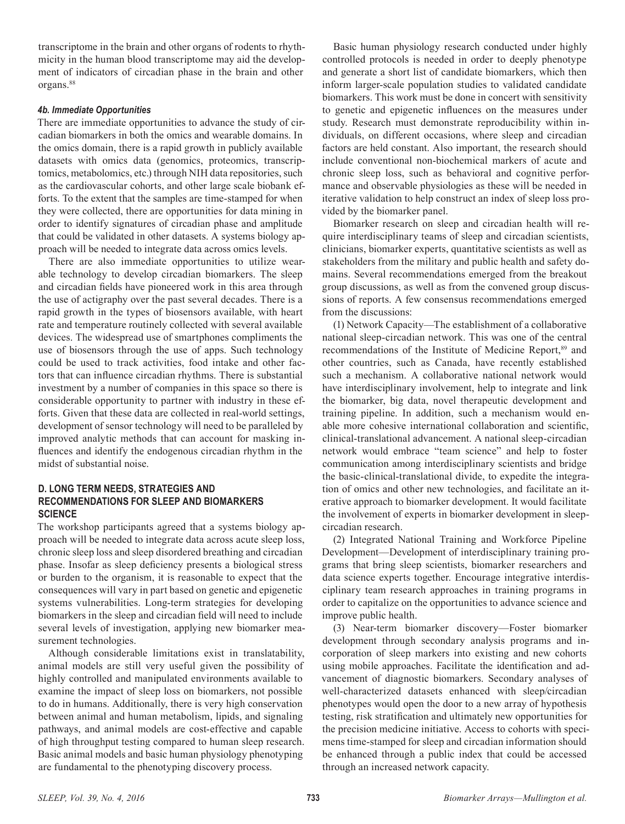transcriptome in the brain and other organs of rodents to rhythmicity in the human blood transcriptome may aid the development of indicators of circadian phase in the brain and other organs.<sup>88</sup>

## *4b. Immediate Opportunities*

There are immediate opportunities to advance the study of circadian biomarkers in both the omics and wearable domains. In the omics domain, there is a rapid growth in publicly available datasets with omics data (genomics, proteomics, transcriptomics, metabolomics, etc.) through NIH data repositories, such as the cardiovascular cohorts, and other large scale biobank efforts. To the extent that the samples are time-stamped for when they were collected, there are opportunities for data mining in order to identify signatures of circadian phase and amplitude that could be validated in other datasets. A systems biology approach will be needed to integrate data across omics levels.

There are also immediate opportunities to utilize wearable technology to develop circadian biomarkers. The sleep and circadian fields have pioneered work in this area through the use of actigraphy over the past several decades. There is a rapid growth in the types of biosensors available, with heart rate and temperature routinely collected with several available devices. The widespread use of smartphones compliments the use of biosensors through the use of apps. Such technology could be used to track activities, food intake and other factors that can influence circadian rhythms. There is substantial investment by a number of companies in this space so there is considerable opportunity to partner with industry in these efforts. Given that these data are collected in real-world settings, development of sensor technology will need to be paralleled by improved analytic methods that can account for masking influences and identify the endogenous circadian rhythm in the midst of substantial noise.

## **D. LONG TERM NEEDS, STRATEGIES AND RECOMMENDATIONS FOR SLEEP AND BIOMARKERS SCIENCE**

The workshop participants agreed that a systems biology approach will be needed to integrate data across acute sleep loss, chronic sleep loss and sleep disordered breathing and circadian phase. Insofar as sleep deficiency presents a biological stress or burden to the organism, it is reasonable to expect that the consequences will vary in part based on genetic and epigenetic systems vulnerabilities. Long-term strategies for developing biomarkers in the sleep and circadian field will need to include several levels of investigation, applying new biomarker measurement technologies.

Although considerable limitations exist in translatability, animal models are still very useful given the possibility of highly controlled and manipulated environments available to examine the impact of sleep loss on biomarkers, not possible to do in humans. Additionally, there is very high conservation between animal and human metabolism, lipids, and signaling pathways, and animal models are cost-effective and capable of high throughput testing compared to human sleep research. Basic animal models and basic human physiology phenotyping are fundamental to the phenotyping discovery process.

Basic human physiology research conducted under highly controlled protocols is needed in order to deeply phenotype and generate a short list of candidate biomarkers, which then inform larger-scale population studies to validated candidate biomarkers. This work must be done in concert with sensitivity to genetic and epigenetic influences on the measures under study. Research must demonstrate reproducibility within individuals, on different occasions, where sleep and circadian factors are held constant. Also important, the research should include conventional non-biochemical markers of acute and chronic sleep loss, such as behavioral and cognitive performance and observable physiologies as these will be needed in iterative validation to help construct an index of sleep loss provided by the biomarker panel.

Biomarker research on sleep and circadian health will require interdisciplinary teams of sleep and circadian scientists, clinicians, biomarker experts, quantitative scientists as well as stakeholders from the military and public health and safety domains. Several recommendations emerged from the breakout group discussions, as well as from the convened group discussions of reports. A few consensus recommendations emerged from the discussions:

(1) Network Capacity—The establishment of a collaborative national sleep-circadian network. This was one of the central recommendations of the Institute of Medicine Report,<sup>89</sup> and other countries, such as Canada, have recently established such a mechanism. A collaborative national network would have interdisciplinary involvement, help to integrate and link the biomarker, big data, novel therapeutic development and training pipeline. In addition, such a mechanism would enable more cohesive international collaboration and scientific, clinical-translational advancement. A national sleep-circadian network would embrace "team science" and help to foster communication among interdisciplinary scientists and bridge the basic-clinical-translational divide, to expedite the integration of omics and other new technologies, and facilitate an iterative approach to biomarker development. It would facilitate the involvement of experts in biomarker development in sleepcircadian research.

(2) Integrated National Training and Workforce Pipeline Development—Development of interdisciplinary training programs that bring sleep scientists, biomarker researchers and data science experts together. Encourage integrative interdisciplinary team research approaches in training programs in order to capitalize on the opportunities to advance science and improve public health.

(3) Near-term biomarker discovery—Foster biomarker development through secondary analysis programs and incorporation of sleep markers into existing and new cohorts using mobile approaches. Facilitate the identification and advancement of diagnostic biomarkers. Secondary analyses of well-characterized datasets enhanced with sleep/circadian phenotypes would open the door to a new array of hypothesis testing, risk stratification and ultimately new opportunities for the precision medicine initiative. Access to cohorts with specimens time-stamped for sleep and circadian information should be enhanced through a public index that could be accessed through an increased network capacity.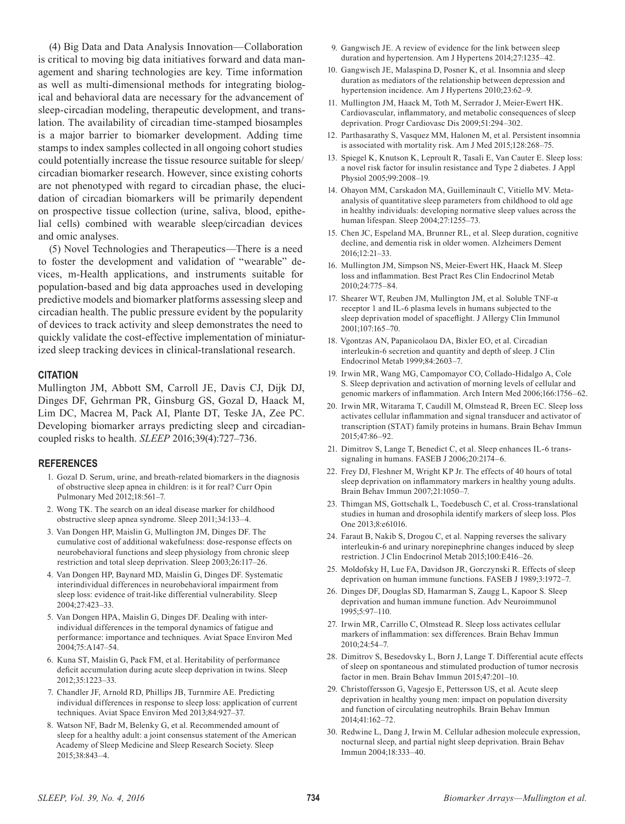(4) Big Data and Data Analysis Innovation—Collaboration is critical to moving big data initiatives forward and data management and sharing technologies are key. Time information as well as multi-dimensional methods for integrating biological and behavioral data are necessary for the advancement of sleep-circadian modeling, therapeutic development, and translation. The availability of circadian time-stamped biosamples is a major barrier to biomarker development. Adding time stamps to index samples collected in all ongoing cohort studies could potentially increase the tissue resource suitable for sleep/ circadian biomarker research. However, since existing cohorts are not phenotyped with regard to circadian phase, the elucidation of circadian biomarkers will be primarily dependent on prospective tissue collection (urine, saliva, blood, epithelial cells) combined with wearable sleep/circadian devices and omic analyses.

(5) Novel Technologies and Therapeutics—There is a need to foster the development and validation of "wearable" devices, m-Health applications, and instruments suitable for population-based and big data approaches used in developing predictive models and biomarker platforms assessing sleep and circadian health. The public pressure evident by the popularity of devices to track activity and sleep demonstrates the need to quickly validate the cost-effective implementation of miniaturized sleep tracking devices in clinical-translational research.

#### **CITATION**

Mullington JM, Abbott SM, Carroll JE, Davis CJ, Dijk DJ, Dinges DF, Gehrman PR, Ginsburg GS, Gozal D, Haack M, Lim DC, Macrea M, Pack AI, Plante DT, Teske JA, Zee PC. Developing biomarker arrays predicting sleep and circadiancoupled risks to health. *SLEEP* 2016;39(4):727–736.

#### **REFERENCES**

- 1. Gozal D. Serum, urine, and breath-related biomarkers in the diagnosis of obstructive sleep apnea in children: is it for real? Curr Opin Pulmonary Med 2012;18:561–7.
- 2. Wong TK. The search on an ideal disease marker for childhood obstructive sleep apnea syndrome. Sleep 2011;34:133–4.
- 3. Van Dongen HP, Maislin G, Mullington JM, Dinges DF. The cumulative cost of additional wakefulness: dose-response effects on neurobehavioral functions and sleep physiology from chronic sleep restriction and total sleep deprivation. Sleep 2003;26:117–26.
- 4. Van Dongen HP, Baynard MD, Maislin G, Dinges DF. Systematic interindividual differences in neurobehavioral impairment from sleep loss: evidence of trait-like differential vulnerability. Sleep 2004;27:423–33.
- 5. Van Dongen HPA, Maislin G, Dinges DF. Dealing with interindividual differences in the temporal dynamics of fatigue and performance: importance and techniques. Aviat Space Environ Med 2004;75:A147–54.
- 6. Kuna ST, Maislin G, Pack FM, et al. Heritability of performance deficit accumulation during acute sleep deprivation in twins. Sleep 2012;35:1223–33.
- 7. Chandler JF, Arnold RD, Phillips JB, Turnmire AE. Predicting individual differences in response to sleep loss: application of current techniques. Aviat Space Environ Med 2013;84:927–37.
- 8. Watson NF, Badr M, Belenky G, et al. Recommended amount of sleep for a healthy adult: a joint consensus statement of the American Academy of Sleep Medicine and Sleep Research Society. Sleep 2015;38:843–4.
- 9. Gangwisch JE. A review of evidence for the link between sleep duration and hypertension. Am J Hypertens 2014;27:1235–42.
- 10. Gangwisch JE, Malaspina D, Posner K, et al. Insomnia and sleep duration as mediators of the relationship between depression and hypertension incidence. Am J Hypertens 2010;23:62–9.
- 11. Mullington JM, Haack M, Toth M, Serrador J, Meier-Ewert HK. Cardiovascular, inflammatory, and metabolic consequences of sleep deprivation. Progr Cardiovasc Dis 2009;51:294–302.
- 12. Parthasarathy S, Vasquez MM, Halonen M, et al. Persistent insomnia is associated with mortality risk. Am J Med 2015;128:268–75.
- 13. Spiegel K, Knutson K, Leproult R, Tasali E, Van Cauter E. Sleep loss: a novel risk factor for insulin resistance and Type 2 diabetes. J Appl Physiol 2005;99:2008–19.
- 14. Ohayon MM, Carskadon MA, Guilleminault C, Vitiello MV. Metaanalysis of quantitative sleep parameters from childhood to old age in healthy individuals: developing normative sleep values across the human lifespan. Sleep 2004;27:1255–73.
- 15. Chen JC, Espeland MA, Brunner RL, et al. Sleep duration, cognitive decline, and dementia risk in older women. Alzheimers Dement 2016;12:21–33.
- 16. Mullington JM, Simpson NS, Meier-Ewert HK, Haack M. Sleep loss and inflammation. Best Pract Res Clin Endocrinol Metab 2010;24:775–84.
- 17. Shearer WT, Reuben JM, Mullington JM, et al. Soluble TNF-α receptor 1 and IL-6 plasma levels in humans subjected to the sleep deprivation model of spaceflight. J Allergy Clin Immunol 2001;107:165–70.
- 18. Vgontzas AN, Papanicolaou DA, Bixler EO, et al. Circadian interleukin-6 secretion and quantity and depth of sleep. J Clin Endocrinol Metab 1999;84:2603–7.
- 19. Irwin MR, Wang MG, Campomayor CO, Collado-Hidalgo A, Cole S. Sleep deprivation and activation of morning levels of cellular and genomic markers of inflammation. Arch Intern Med 2006;166:1756–62.
- 20. Irwin MR, Witarama T, Caudill M, Olmstead R, Breen EC. Sleep loss activates cellular inflammation and signal transducer and activator of transcription (STAT) family proteins in humans. Brain Behav Immun 2015;47:86–92.
- 21. Dimitrov S, Lange T, Benedict C, et al. Sleep enhances IL-6 transsignaling in humans. FASEB J 2006;20:2174–6.
- 22. Frey DJ, Fleshner M, Wright KP Jr. The effects of 40 hours of total sleep deprivation on inflammatory markers in healthy young adults. Brain Behav Immun 2007;21:1050–7.
- 23. Thimgan MS, Gottschalk L, Toedebusch C, et al. Cross-translational studies in human and drosophila identify markers of sleep loss. Plos One 2013;8:e61016.
- 24. Faraut B, Nakib S, Drogou C, et al. Napping reverses the salivary interleukin-6 and urinary norepinephrine changes induced by sleep restriction. J Clin Endocrinol Metab 2015;100:E416–26.
- 25. Moldofsky H, Lue FA, Davidson JR, Gorczynski R. Effects of sleep deprivation on human immune functions. FASEB J 1989;3:1972–7.
- 26. Dinges DF, Douglas SD, Hamarman S, Zaugg L, Kapoor S. Sleep deprivation and human immune function. Adv Neuroimmunol 1995;5:97–110.
- 27. Irwin MR, Carrillo C, Olmstead R. Sleep loss activates cellular markers of inflammation: sex differences. Brain Behav Immun 2010;24:54–7.
- 28. Dimitrov S, Besedovsky L, Born J, Lange T. Differential acute effects of sleep on spontaneous and stimulated production of tumor necrosis factor in men. Brain Behav Immun 2015;47:201–10.
- 29. Christoffersson G, Vagesjo E, Pettersson US, et al. Acute sleep deprivation in healthy young men: impact on population diversity and function of circulating neutrophils. Brain Behav Immun 2014;41:162–72.
- 30. Redwine L, Dang J, Irwin M. Cellular adhesion molecule expression, nocturnal sleep, and partial night sleep deprivation. Brain Behav Immun 2004;18:333–40.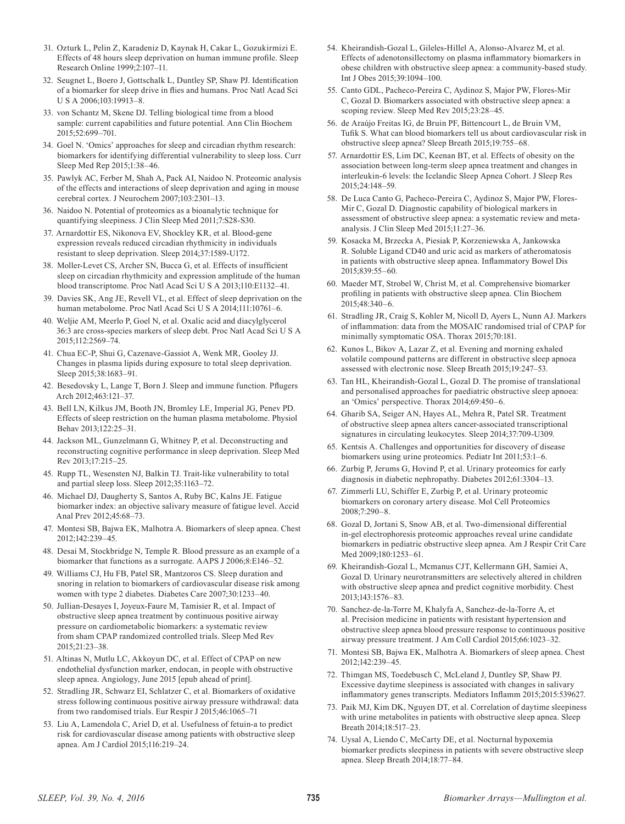- 31. Ozturk L, Pelin Z, Karadeniz D, Kaynak H, Cakar L, Gozukirmizi E. Effects of 48 hours sleep deprivation on human immune profile. Sleep Research Online 1999;2:107–11.
- 32. Seugnet L, Boero J, Gottschalk L, Duntley SP, Shaw PJ. Identification of a biomarker for sleep drive in flies and humans. Proc Natl Acad Sci U S A 2006;103:19913–8.
- 33. von Schantz M, Skene DJ. Telling biological time from a blood sample: current capabilities and future potential. Ann Clin Biochem 2015;52:699–701.
- 34. Goel N. 'Omics' approaches for sleep and circadian rhythm research: biomarkers for identifying differential vulnerability to sleep loss. Curr Sleep Med Rep 2015;1:38–46.
- 35. Pawlyk AC, Ferber M, Shah A, Pack AI, Naidoo N. Proteomic analysis of the effects and interactions of sleep deprivation and aging in mouse cerebral cortex. J Neurochem 2007;103:2301–13.
- 36. Naidoo N. Potential of proteomics as a bioanalytic technique for quantifying sleepiness. J Clin Sleep Med 2011;7:S28-S30.
- 37. Arnardottir ES, Nikonova EV, Shockley KR, et al. Blood-gene expression reveals reduced circadian rhythmicity in individuals resistant to sleep deprivation. Sleep 2014;37:1589-U172.
- 38. Moller-Levet CS, Archer SN, Bucca G, et al. Effects of insufficient sleep on circadian rhythmicity and expression amplitude of the human blood transcriptome. Proc Natl Acad Sci U S A 2013;110:E1132–41.
- 39. Davies SK, Ang JE, Revell VL, et al. Effect of sleep deprivation on the human metabolome. Proc Natl Acad Sci U S A 2014;111:10761–6.
- 40. Weljie AM, Meerlo P, Goel N, et al. Oxalic acid and diacylglycerol 36:3 are cross-species markers of sleep debt. Proc Natl Acad Sci U S A 2015;112:2569–74.
- 41. Chua EC-P, Shui G, Cazenave-Gassiot A, Wenk MR, Gooley JJ. Changes in plasma lipids during exposure to total sleep deprivation. Sleep 2015;38:1683–91.
- 42. Besedovsky L, Lange T, Born J. Sleep and immune function. Pflugers Arch 2012;463:121–37.
- 43. Bell LN, Kilkus JM, Booth JN, Bromley LE, Imperial JG, Penev PD. Effects of sleep restriction on the human plasma metabolome. Physiol Behav 2013;122:25–31.
- 44. Jackson ML, Gunzelmann G, Whitney P, et al. Deconstructing and reconstructing cognitive performance in sleep deprivation. Sleep Med Rev 2013;17:215–25.
- 45. Rupp TL, Wesensten NJ, Balkin TJ. Trait-like vulnerability to total and partial sleep loss. Sleep 2012;35:1163–72.
- 46. Michael DJ, Daugherty S, Santos A, Ruby BC, Kalns JE. Fatigue biomarker index: an objective salivary measure of fatigue level. Accid Anal Prev 2012;45:68–73.
- 47. Montesi SB, Bajwa EK, Malhotra A. Biomarkers of sleep apnea. Chest 2012;142:239–45.
- 48. Desai M, Stockbridge N, Temple R. Blood pressure as an example of a biomarker that functions as a surrogate. AAPS J 2006;8:E146–52.
- 49. Williams CJ, Hu FB, Patel SR, Mantzoros CS. Sleep duration and snoring in relation to biomarkers of cardiovascular disease risk among women with type 2 diabetes. Diabetes Care 2007;30:1233–40.
- 50. Jullian-Desayes I, Joyeux-Faure M, Tamisier R, et al. Impact of obstructive sleep apnea treatment by continuous positive airway pressure on cardiometabolic biomarkers: a systematic review from sham CPAP randomized controlled trials. Sleep Med Rev 2015;21:23–38.
- 51. Altinas N, Mutlu LC, Akkoyun DC, et al. Effect of CPAP on new endothelial dysfunction marker, endocan, in people with obstructive sleep apnea. Angiology, June 2015 [epub ahead of print].
- 52. Stradling JR, Schwarz EI, Schlatzer C, et al. Biomarkers of oxidative stress following continuous positive airway pressure withdrawal: data from two randomised trials. Eur Respir J 2015;46:1065–71
- 53. Liu A, Lamendola C, Ariel D, et al. Usefulness of fetuin-a to predict risk for cardiovascular disease among patients with obstructive sleep apnea. Am J Cardiol 2015;116:219–24.
- 54. Kheirandish-Gozal L, Gileles-Hillel A, Alonso-Alvarez M, et al. Effects of adenotonsillectomy on plasma inflammatory biomarkers in obese children with obstructive sleep apnea: a community-based study. Int J Obes 2015;39:1094–100.
- 55. Canto GDL, Pacheco-Pereira C, Aydinoz S, Major PW, Flores-Mir C, Gozal D. Biomarkers associated with obstructive sleep apnea: a scoping review. Sleep Med Rev 2015;23:28–45.
- 56. de Araújo Freitas IG, de Bruin PF, Bittencourt L, de Bruin VM, Tufik S. What can blood biomarkers tell us about cardiovascular risk in obstructive sleep apnea? Sleep Breath 2015;19:755–68.
- 57. Arnardottir ES, Lim DC, Keenan BT, et al. Effects of obesity on the association between long-term sleep apnea treatment and changes in interleukin-6 levels: the Icelandic Sleep Apnea Cohort. J Sleep Res 2015;24:148–59.
- 58. De Luca Canto G, Pacheco-Pereira C, Aydinoz S, Major PW, Flores-Mir C, Gozal D. Diagnostic capability of biological markers in assessment of obstructive sleep apnea: a systematic review and metaanalysis. J Clin Sleep Med 2015;11:27–36.
- 59. Kosacka M, Brzecka A, Piesiak P, Korzeniewska A, Jankowska R. Soluble Ligand CD40 and uric acid as markers of atheromatosis in patients with obstructive sleep apnea. Inflammatory Bowel Dis 2015;839:55–60.
- 60. Maeder MT, Strobel W, Christ M, et al. Comprehensive biomarker profiling in patients with obstructive sleep apnea. Clin Biochem 2015;48:340–6.
- 61. Stradling JR, Craig S, Kohler M, Nicoll D, Ayers L, Nunn AJ. Markers of inflammation: data from the MOSAIC randomised trial of CPAP for minimally symptomatic OSA. Thorax 2015;70:181.
- 62. Kunos L, Bikov A, Lazar Z, et al. Evening and morning exhaled volatile compound patterns are different in obstructive sleep apnoea assessed with electronic nose. Sleep Breath 2015;19:247–53.
- 63. Tan HL, Kheirandish-Gozal L, Gozal D. The promise of translational and personalised approaches for paediatric obstructive sleep apnoea: an 'Omics' perspective. Thorax 2014;69:450–6.
- 64. Gharib SA, Seiger AN, Hayes AL, Mehra R, Patel SR. Treatment of obstructive sleep apnea alters cancer-associated transcriptional signatures in circulating leukocytes. Sleep 2014;37:709-U309.
- 65. Kentsis A. Challenges and opportunities for discovery of disease biomarkers using urine proteomics. Pediatr Int 2011;53:1–6.
- 66. Zurbig P, Jerums G, Hovind P, et al. Urinary proteomics for early diagnosis in diabetic nephropathy. Diabetes 2012;61:3304–13.
- 67. Zimmerli LU, Schiffer E, Zurbig P, et al. Urinary proteomic biomarkers on coronary artery disease. Mol Cell Proteomics 2008;7:290–8.
- 68. Gozal D, Jortani S, Snow AB, et al. Two-dimensional differential in-gel electrophoresis proteomic approaches reveal urine candidate biomarkers in pediatric obstructive sleep apnea. Am J Respir Crit Care Med 2009;180:1253–61.
- 69. Kheirandish-Gozal L, Mcmanus CJT, Kellermann GH, Samiei A, Gozal D. Urinary neurotransmitters are selectively altered in children with obstructive sleep apnea and predict cognitive morbidity. Chest 2013;143:1576–83.
- 70. Sanchez-de-la-Torre M, Khalyfa A, Sanchez-de-la-Torre A, et al. Precision medicine in patients with resistant hypertension and obstructive sleep apnea blood pressure response to continuous positive airway pressure treatment. J Am Coll Cardiol 2015;66:1023–32.
- 71. Montesi SB, Bajwa EK, Malhotra A. Biomarkers of sleep apnea. Chest 2012;142:239–45.
- 72. Thimgan MS, Toedebusch C, McLeland J, Duntley SP, Shaw PJ. Excessive daytime sleepiness is associated with changes in salivary inflammatory genes transcripts. Mediators Inflamm 2015;2015:539627.
- 73. Paik MJ, Kim DK, Nguyen DT, et al. Correlation of daytime sleepiness with urine metabolites in patients with obstructive sleep apnea. Sleep Breath 2014;18:517–23.
- 74. Uysal A, Liendo C, McCarty DE, et al. Nocturnal hypoxemia biomarker predicts sleepiness in patients with severe obstructive sleep apnea. Sleep Breath 2014;18:77–84.